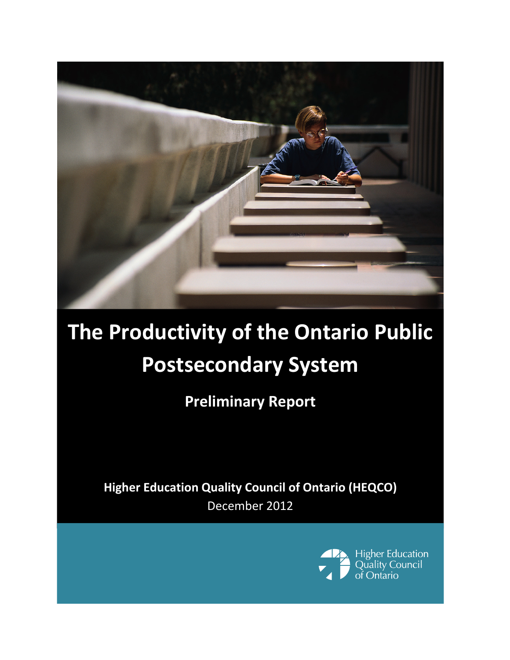

# **The Productivity of the Ontario Public Postsecondary System**

**Preliminary Report**

**Higher Education Quality Council of Ontario (HEQCO)** December 2012

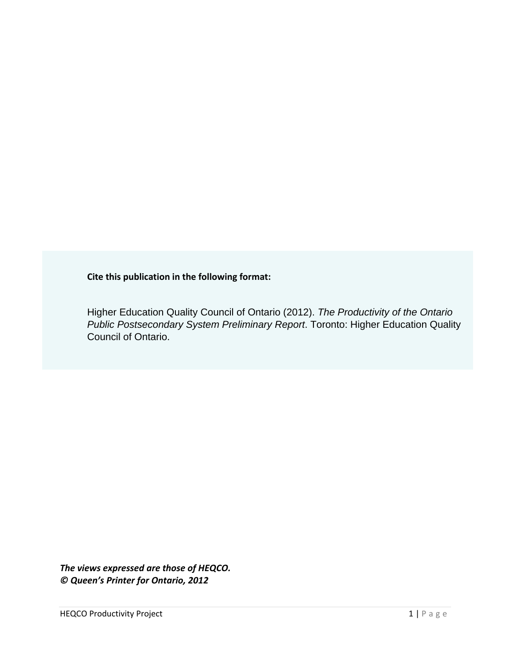**Cite this publication in the following format:**

Higher Education Quality Council of Ontario (2012). *The Productivity of the Ontario Public Postsecondary System Preliminary Report*. Toronto: Higher Education Quality Council of Ontario.

*The views expressed are those of HEQCO. © Queen's Printer for Ontario, 2012*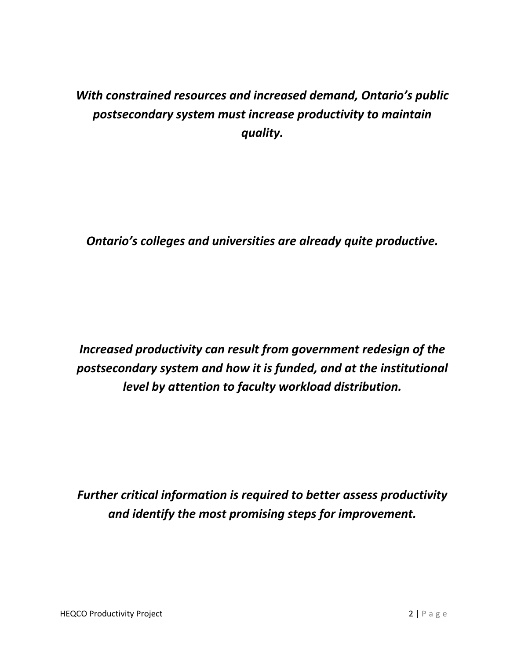# *With constrained resources and increased demand, Ontario's public postsecondary system must increase productivity to maintain quality.*

*Ontario's colleges and universities are already quite productive.*

*Increased productivity can result from government redesign of the postsecondary system and how it is funded, and at the institutional level by attention to faculty workload distribution.*

*Further critical information is required to better assess productivity and identify the most promising steps for improvement.*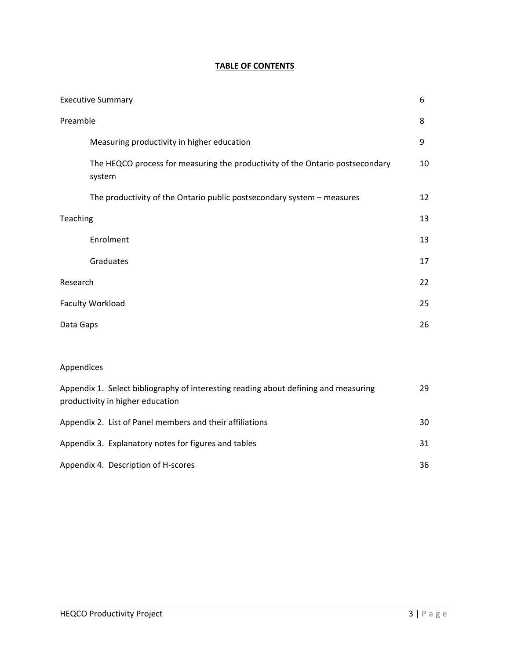# **TABLE OF CONTENTS**

| <b>Executive Summary</b> |                                                                                         |    |
|--------------------------|-----------------------------------------------------------------------------------------|----|
| Preamble                 |                                                                                         | 8  |
|                          | Measuring productivity in higher education                                              | 9  |
|                          | The HEQCO process for measuring the productivity of the Ontario postsecondary<br>system | 10 |
|                          | The productivity of the Ontario public postsecondary system $-$ measures                | 12 |
| Teaching                 |                                                                                         | 13 |
|                          | Enrolment                                                                               | 13 |
|                          | Graduates                                                                               | 17 |
| Research                 |                                                                                         | 22 |
| <b>Faculty Workload</b>  |                                                                                         | 25 |
| Data Gaps                |                                                                                         | 26 |
|                          |                                                                                         |    |

# Appendices

| Appendix 1. Select bibliography of interesting reading about defining and measuring<br>productivity in higher education | 29 |
|-------------------------------------------------------------------------------------------------------------------------|----|
| Appendix 2. List of Panel members and their affiliations                                                                | 30 |
| Appendix 3. Explanatory notes for figures and tables                                                                    | 31 |
| Appendix 4. Description of H-scores                                                                                     | 36 |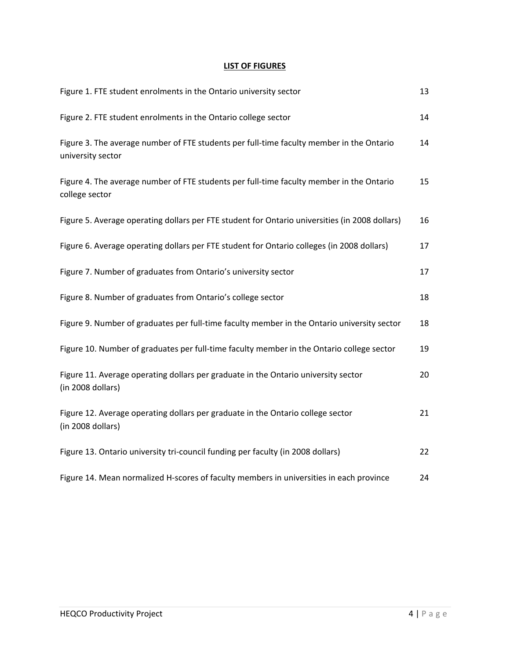# **LIST OF FIGURES**

| Figure 1. FTE student enrolments in the Ontario university sector                                             | 13 |
|---------------------------------------------------------------------------------------------------------------|----|
| Figure 2. FTE student enrolments in the Ontario college sector                                                | 14 |
| Figure 3. The average number of FTE students per full-time faculty member in the Ontario<br>university sector | 14 |
| Figure 4. The average number of FTE students per full-time faculty member in the Ontario<br>college sector    | 15 |
| Figure 5. Average operating dollars per FTE student for Ontario universities (in 2008 dollars)                | 16 |
| Figure 6. Average operating dollars per FTE student for Ontario colleges (in 2008 dollars)                    | 17 |
| Figure 7. Number of graduates from Ontario's university sector                                                | 17 |
| Figure 8. Number of graduates from Ontario's college sector                                                   | 18 |
| Figure 9. Number of graduates per full-time faculty member in the Ontario university sector                   | 18 |
| Figure 10. Number of graduates per full-time faculty member in the Ontario college sector                     | 19 |
| Figure 11. Average operating dollars per graduate in the Ontario university sector<br>(in 2008 dollars)       | 20 |
| Figure 12. Average operating dollars per graduate in the Ontario college sector<br>(in 2008 dollars)          | 21 |
| Figure 13. Ontario university tri-council funding per faculty (in 2008 dollars)                               | 22 |
| Figure 14. Mean normalized H-scores of faculty members in universities in each province                       | 24 |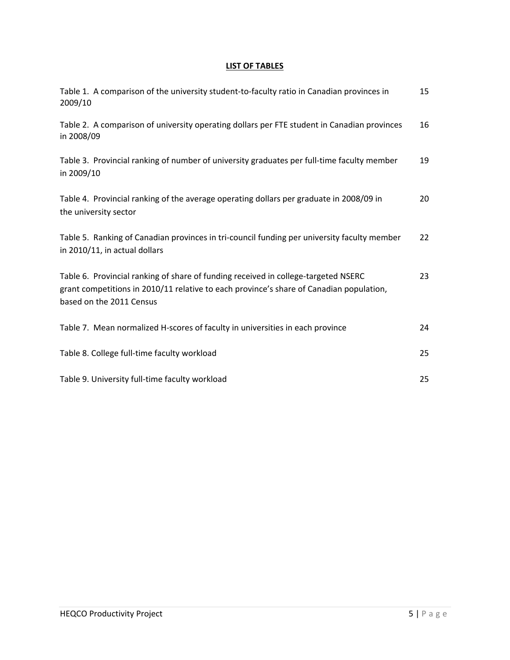# **LIST OF TABLES**

| Table 1. A comparison of the university student-to-faculty ratio in Canadian provinces in<br>2009/10                                                                                                      | 15 |
|-----------------------------------------------------------------------------------------------------------------------------------------------------------------------------------------------------------|----|
| Table 2. A comparison of university operating dollars per FTE student in Canadian provinces<br>in 2008/09                                                                                                 | 16 |
| Table 3. Provincial ranking of number of university graduates per full-time faculty member<br>in 2009/10                                                                                                  | 19 |
| Table 4. Provincial ranking of the average operating dollars per graduate in 2008/09 in<br>the university sector                                                                                          | 20 |
| Table 5. Ranking of Canadian provinces in tri-council funding per university faculty member<br>in 2010/11, in actual dollars                                                                              | 22 |
| Table 6. Provincial ranking of share of funding received in college-targeted NSERC<br>grant competitions in 2010/11 relative to each province's share of Canadian population,<br>based on the 2011 Census | 23 |
| Table 7. Mean normalized H-scores of faculty in universities in each province                                                                                                                             | 24 |
| Table 8. College full-time faculty workload                                                                                                                                                               | 25 |
| Table 9. University full-time faculty workload                                                                                                                                                            | 25 |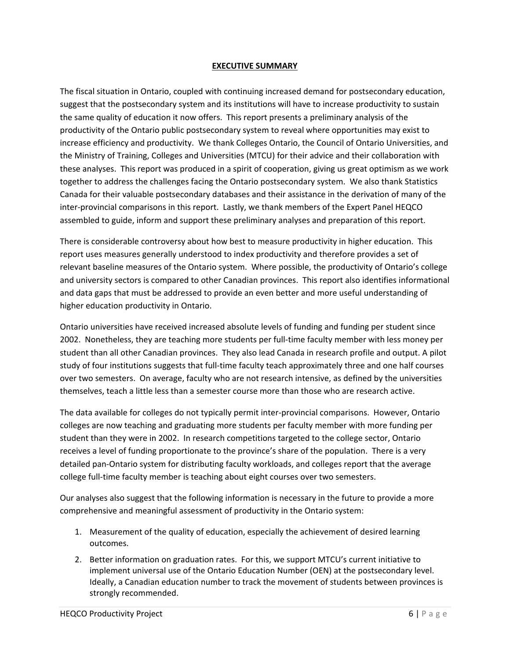#### **EXECUTIVE SUMMARY**

The fiscal situation in Ontario, coupled with continuing increased demand for postsecondary education, suggest that the postsecondary system and its institutions will have to increase productivity to sustain the same quality of education it now offers. This report presents a preliminary analysis of the productivity of the Ontario public postsecondary system to reveal where opportunities may exist to increase efficiency and productivity. We thank Colleges Ontario, the Council of Ontario Universities, and the Ministry of Training, Colleges and Universities (MTCU) for their advice and their collaboration with these analyses. This report was produced in a spirit of cooperation, giving us great optimism as we work together to address the challenges facing the Ontario postsecondary system. We also thank Statistics Canada for their valuable postsecondary databases and their assistance in the derivation of many of the inter-provincial comparisons in this report. Lastly, we thank members of the Expert Panel HEQCO assembled to guide, inform and support these preliminary analyses and preparation of this report.

There is considerable controversy about how best to measure productivity in higher education. This report uses measures generally understood to index productivity and therefore provides a set of relevant baseline measures of the Ontario system. Where possible, the productivity of Ontario's college and university sectors is compared to other Canadian provinces. This report also identifies informational and data gaps that must be addressed to provide an even better and more useful understanding of higher education productivity in Ontario.

Ontario universities have received increased absolute levels of funding and funding per student since 2002. Nonetheless, they are teaching more students per full‐time faculty member with less money per student than all other Canadian provinces. They also lead Canada in research profile and output. A pilot study of four institutions suggests that full-time faculty teach approximately three and one half courses over two semesters. On average, faculty who are not research intensive, as defined by the universities themselves, teach a little less than a semester course more than those who are research active.

The data available for colleges do not typically permit inter‐provincial comparisons. However, Ontario colleges are now teaching and graduating more students per faculty member with more funding per student than they were in 2002. In research competitions targeted to the college sector, Ontario receives a level of funding proportionate to the province's share of the population. There is a very detailed pan‐Ontario system for distributing faculty workloads, and colleges report that the average college full‐time faculty member is teaching about eight courses over two semesters.

Our analyses also suggest that the following information is necessary in the future to provide a more comprehensive and meaningful assessment of productivity in the Ontario system:

- 1. Measurement of the quality of education, especially the achievement of desired learning outcomes.
- 2. Better information on graduation rates. For this, we support MTCU's current initiative to implement universal use of the Ontario Education Number (OEN) at the postsecondary level. Ideally, a Canadian education number to track the movement of students between provinces is strongly recommended.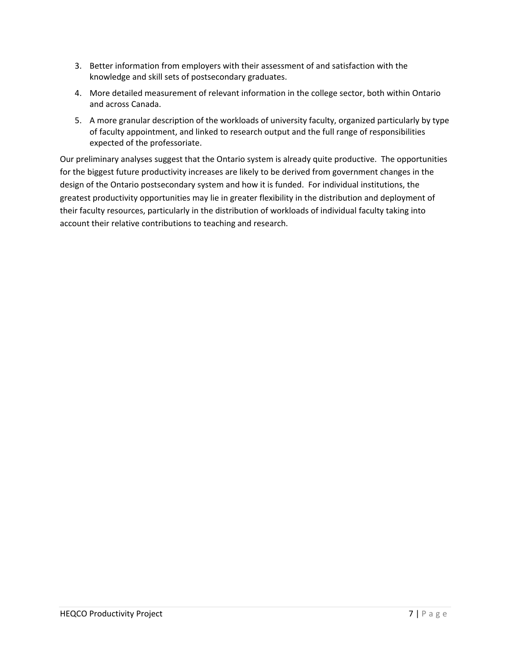- 3. Better information from employers with their assessment of and satisfaction with the knowledge and skill sets of postsecondary graduates.
- 4. More detailed measurement of relevant information in the college sector, both within Ontario and across Canada.
- 5. A more granular description of the workloads of university faculty, organized particularly by type of faculty appointment, and linked to research output and the full range of responsibilities expected of the professoriate.

Our preliminary analyses suggest that the Ontario system is already quite productive. The opportunities for the biggest future productivity increases are likely to be derived from government changes in the design of the Ontario postsecondary system and how it is funded. For individual institutions, the greatest productivity opportunities may lie in greater flexibility in the distribution and deployment of their faculty resources, particularly in the distribution of workloads of individual faculty taking into account their relative contributions to teaching and research.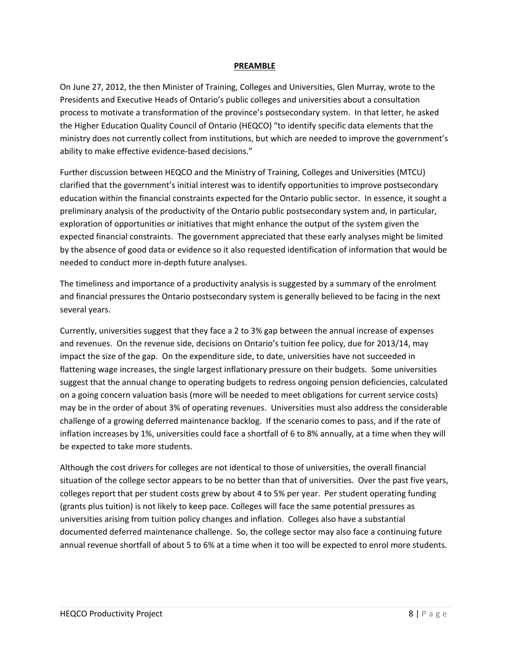#### **PREAMBLE**

On June 27, 2012, the then Minister of Training, Colleges and Universities, Glen Murray, wrote to the Presidents and Executive Heads of Ontario's public colleges and universities about a consultation process to motivate a transformation of the province's postsecondary system. In that letter, he asked the Higher Education Quality Council of Ontario (HEQCO) "to identify specific data elements that the ministry does not currently collect from institutions, but which are needed to improve the government's ability to make effective evidence‐based decisions."

Further discussion between HEQCO and the Ministry of Training, Colleges and Universities (MTCU) clarified that the government's initial interest was to identify opportunities to improve postsecondary education within the financial constraints expected for the Ontario public sector. In essence, it sought a preliminary analysis of the productivity of the Ontario public postsecondary system and, in particular, exploration of opportunities or initiatives that might enhance the output of the system given the expected financial constraints. The government appreciated that these early analyses might be limited by the absence of good data or evidence so it also requested identification of information that would be needed to conduct more in‐depth future analyses.

The timeliness and importance of a productivity analysis is suggested by a summary of the enrolment and financial pressures the Ontario postsecondary system is generally believed to be facing in the next several years.

Currently, universities suggest that they face a 2 to 3% gap between the annual increase of expenses and revenues. On the revenue side, decisions on Ontario's tuition fee policy, due for 2013/14, may impact the size of the gap. On the expenditure side, to date, universities have not succeeded in flattening wage increases, the single largest inflationary pressure on their budgets. Some universities suggest that the annual change to operating budgets to redress ongoing pension deficiencies, calculated on a going concern valuation basis (more will be needed to meet obligations for current service costs) may be in the order of about 3% of operating revenues. Universities must also address the considerable challenge of a growing deferred maintenance backlog. If the scenario comes to pass, and if the rate of inflation increases by 1%, universities could face a shortfall of 6 to 8% annually, at a time when they will be expected to take more students.

Although the cost drivers for colleges are not identical to those of universities, the overall financial situation of the college sector appears to be no better than that of universities. Over the past five years, colleges report that per student costs grew by about 4 to 5% per year. Per student operating funding (grants plus tuition) is not likely to keep pace. Colleges will face the same potential pressures as universities arising from tuition policy changes and inflation. Colleges also have a substantial documented deferred maintenance challenge. So, the college sector may also face a continuing future annual revenue shortfall of about 5 to 6% at a time when it too will be expected to enrol more students.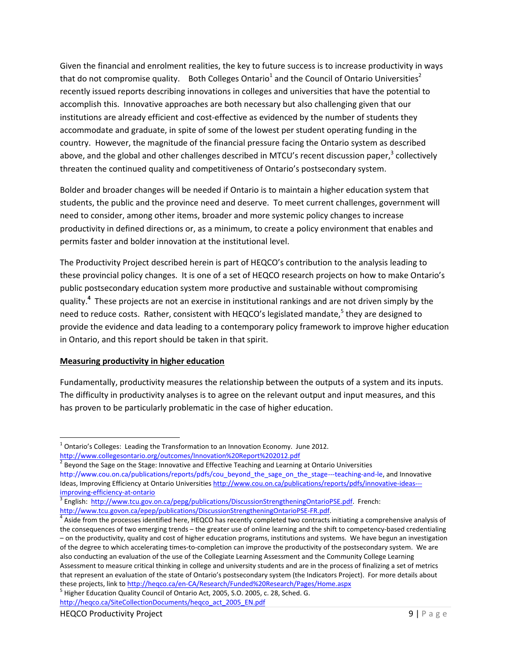Given the financial and enrolment realities, the key to future success is to increase productivity in ways that do not compromise quality. Both Colleges Ontario<sup>1</sup> and the Council of Ontario Universities<sup>2</sup> recently issued reports describing innovations in colleges and universities that have the potential to accomplish this. Innovative approaches are both necessary but also challenging given that our institutions are already efficient and cost-effective as evidenced by the number of students they accommodate and graduate, in spite of some of the lowest per student operating funding in the country. However, the magnitude of the financial pressure facing the Ontario system as described above, and the global and other challenges described in MTCU's recent discussion paper, $3$  collectively threaten the continued quality and competitiveness of Ontario's postsecondary system.

Bolder and broader changes will be needed if Ontario is to maintain a higher education system that students, the public and the province need and deserve. To meet current challenges, government will need to consider, among other items, broader and more systemic policy changes to increase productivity in defined directions or, as a minimum, to create a policy environment that enables and permits faster and bolder innovation at the institutional level.

The Productivity Project described herein is part of HEQCO's contribution to the analysis leading to these provincial policy changes. It is one of a set of HEQCO research projects on how to make Ontario's public postsecondary education system more productive and sustainable without compromising quality.**<sup>4</sup>** These projects are not an exercise in institutional rankings and are not driven simply by the need to reduce costs. Rather, consistent with HEQCO's legislated mandate, $5$  they are designed to provide the evidence and data leading to a contemporary policy framework to improve higher education in Ontario, and this report should be taken in that spirit.

#### **Measuring productivity in higher education**

Fundamentally, productivity measures the relationship between the outputs of a system and its inputs. The difficulty in productivity analyses is to agree on the relevant output and input measures, and this has proven to be particularly problematic in the case of higher education.

  $1$  Ontario's Colleges: Leading the Transformation to an Innovation Economy. June 2012.

http://www.collegesontario.org/outcomes/Innovation%20Report%202012.pdf<br><sup>2</sup> Beyond the Sage on the Stage: Innovative and Effective Teaching and Learning at Ontario Universities http://www.cou.on.ca/publications/reports/pdfs/cou\_beyond\_the\_sage\_on\_the\_stage---teaching-and-le, and Innovative Ideas, Improving Efficiency at Ontario Universities http://www.cou.on.ca/publications/reports/pdfs/innovative-ideas---<br>improving-efficiency-at-ontario

 $^3$  English: http://www.tcu.gov.on.ca/pepg/publications/DiscussionStrengtheningOntarioPSE.pdf. French:

http://www.tcu.govon.ca/epep/publications/DiscussionStrengtheningOntarioPSE-FR.pdf.<br><sup>4</sup> Aside from the processes identified here, HEQCO has recently completed two contracts initiating a comprehensive analysis of the consequences of two emerging trends – the greater use of online learning and the shift to competency-based credentialing – on the productivity, quality and cost of higher education programs, institutions and systems. We have begun an investigation of the degree to which accelerating times‐to‐completion can improve the productivity of the postsecondary system. We are also conducting an evaluation of the use of the Collegiate Learning Assessment and the Community College Learning Assessment to measure critical thinking in college and university students and are in the process of finalizing a set of metrics that represent an evaluation of the state of Ontario's postsecondary system (the Indicators Project). For more details about these projects, link to http://heqco.ca/en-CA/Research/Funded%20Research/Pages/Home.aspx 5 Higher Education Quality Council of Ontario Act, 2005, S.O. 2005, c. 28, Sched. G.

http://heqco.ca/SiteCollectionDocuments/heqco\_act\_2005\_EN.pdf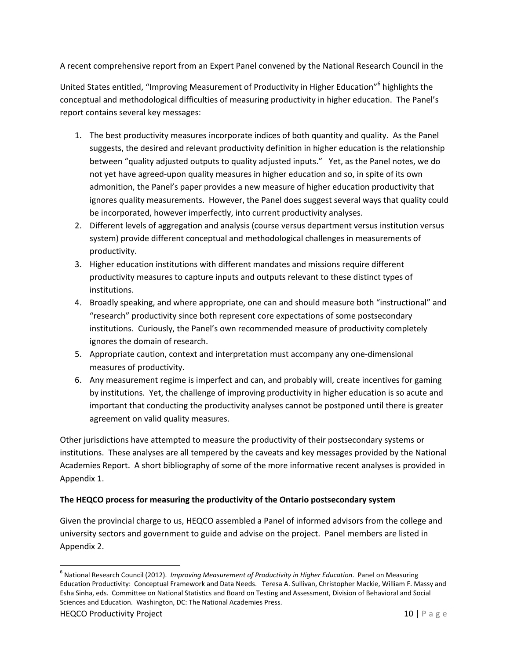A recent comprehensive report from an Expert Panel convened by the National Research Council in the

United States entitled, "Improving Measurement of Productivity in Higher Education"<sup>6</sup> highlights the conceptual and methodological difficulties of measuring productivity in higher education. The Panel's report contains several key messages:

- 1. The best productivity measures incorporate indices of both quantity and quality. As the Panel suggests, the desired and relevant productivity definition in higher education is the relationship between "quality adjusted outputs to quality adjusted inputs." Yet, as the Panel notes, we do not yet have agreed‐upon quality measures in higher education and so, in spite of its own admonition, the Panel's paper provides a new measure of higher education productivity that ignores quality measurements. However, the Panel does suggest several ways that quality could be incorporated, however imperfectly, into current productivity analyses.
- 2. Different levels of aggregation and analysis (course versus department versus institution versus system) provide different conceptual and methodological challenges in measurements of productivity.
- 3. Higher education institutions with different mandates and missions require different productivity measures to capture inputs and outputs relevant to these distinct types of institutions.
- 4. Broadly speaking, and where appropriate, one can and should measure both "instructional" and "research" productivity since both represent core expectations of some postsecondary institutions. Curiously, the Panel's own recommended measure of productivity completely ignores the domain of research.
- 5. Appropriate caution, context and interpretation must accompany any one-dimensional measures of productivity.
- 6. Any measurement regime is imperfect and can, and probably will, create incentives for gaming by institutions. Yet, the challenge of improving productivity in higher education is so acute and important that conducting the productivity analyses cannot be postponed until there is greater agreement on valid quality measures.

Other jurisdictions have attempted to measure the productivity of their postsecondary systems or institutions. These analyses are all tempered by the caveats and key messages provided by the National Academies Report. A short bibliography of some of the more informative recent analyses is provided in Appendix 1.

# **The HEQCO process for measuring the productivity of the Ontario postsecondary system**

Given the provincial charge to us, HEQCO assembled a Panel of informed advisors from the college and university sectors and government to guide and advise on the project. Panel members are listed in Appendix 2.

<sup>6</sup> National Research Council (2012). *Improving Measurement of Productivity in Higher Education*. Panel on Measuring Education Productivity: Conceptual Framework and Data Needs. Teresa A. Sullivan, Christopher Mackie, William F. Massy and Esha Sinha, eds. Committee on National Statistics and Board on Testing and Assessment, Division of Behavioral and Social Sciences and Education. Washington, DC: The National Academies Press.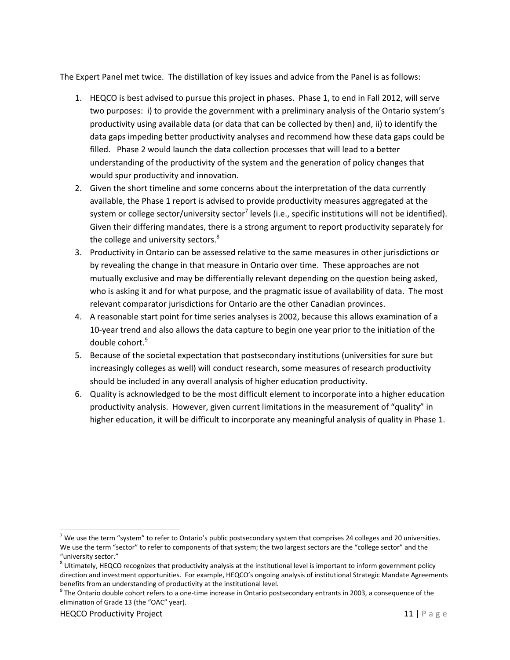The Expert Panel met twice. The distillation of key issues and advice from the Panel is as follows:

- 1. HEQCO is best advised to pursue this project in phases. Phase 1, to end in Fall 2012, will serve two purposes: i) to provide the government with a preliminary analysis of the Ontario system's productivity using available data (or data that can be collected by then) and, ii) to identify the data gaps impeding better productivity analyses and recommend how these data gaps could be filled. Phase 2 would launch the data collection processes that will lead to a better understanding of the productivity of the system and the generation of policy changes that would spur productivity and innovation.
- 2. Given the short timeline and some concerns about the interpretation of the data currently available, the Phase 1 report is advised to provide productivity measures aggregated at the system or college sector/university sector<sup>7</sup> levels (i.e., specific institutions will not be identified). Given their differing mandates, there is a strong argument to report productivity separately for the college and university sectors. $8$
- 3. Productivity in Ontario can be assessed relative to the same measures in other jurisdictions or by revealing the change in that measure in Ontario over time. These approaches are not mutually exclusive and may be differentially relevant depending on the question being asked, who is asking it and for what purpose, and the pragmatic issue of availability of data. The most relevant comparator jurisdictions for Ontario are the other Canadian provinces.
- 4. A reasonable start point for time series analyses is 2002, because this allows examination of a 10-year trend and also allows the data capture to begin one year prior to the initiation of the double cohort.<sup>9</sup>
- 5. Because of the societal expectation that postsecondary institutions (universities for sure but increasingly colleges as well) will conduct research, some measures of research productivity should be included in any overall analysis of higher education productivity.
- 6. Quality is acknowledged to be the most difficult element to incorporate into a higher education productivity analysis. However, given current limitations in the measurement of "quality" in higher education, it will be difficult to incorporate any meaningful analysis of quality in Phase 1.

 $^7$  We use the term "system" to refer to Ontario's public postsecondary system that comprises 24 colleges and 20 universities. We use the term "sector" to refer to components of that system; the two largest sectors are the "college sector" and the "university sector."<br><sup>8</sup> Ultimately, HEQCO recognizes that productivity analysis at the institutional level is important to inform government policy

direction and investment opportunities. For example, HEQCO's ongoing analysis of institutional Strategic Mandate Agreements benefits from an understanding of productivity at the institutional level.<br><sup>9</sup> The Ontario double cohort refers to a one-time increase in Ontario postsecondary entrants in 2003, a consequence of the

elimination of Grade 13 (the "OAC" year).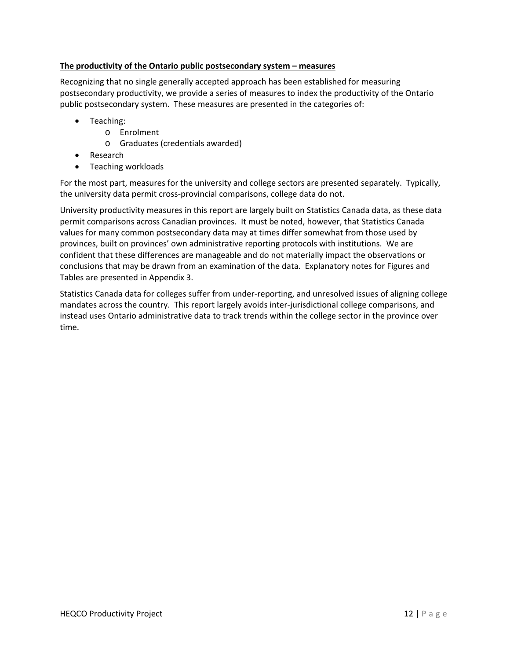#### **The productivity of the Ontario public postsecondary system – measures**

Recognizing that no single generally accepted approach has been established for measuring postsecondary productivity, we provide a series of measures to index the productivity of the Ontario public postsecondary system. These measures are presented in the categories of:

- Teaching:
	- o Enrolment
	- o Graduates (credentials awarded)
- Research
- Teaching workloads

For the most part, measures for the university and college sectors are presented separately. Typically, the university data permit cross‐provincial comparisons, college data do not.

University productivity measures in this report are largely built on Statistics Canada data, as these data permit comparisons across Canadian provinces. It must be noted, however, that Statistics Canada values for many common postsecondary data may at times differ somewhat from those used by provinces, built on provinces' own administrative reporting protocols with institutions. We are confident that these differences are manageable and do not materially impact the observations or conclusions that may be drawn from an examination of the data. Explanatory notes for Figures and Tables are presented in Appendix 3.

Statistics Canada data for colleges suffer from under‐reporting, and unresolved issues of aligning college mandates across the country. This report largely avoids inter-jurisdictional college comparisons, and instead uses Ontario administrative data to track trends within the college sector in the province over time.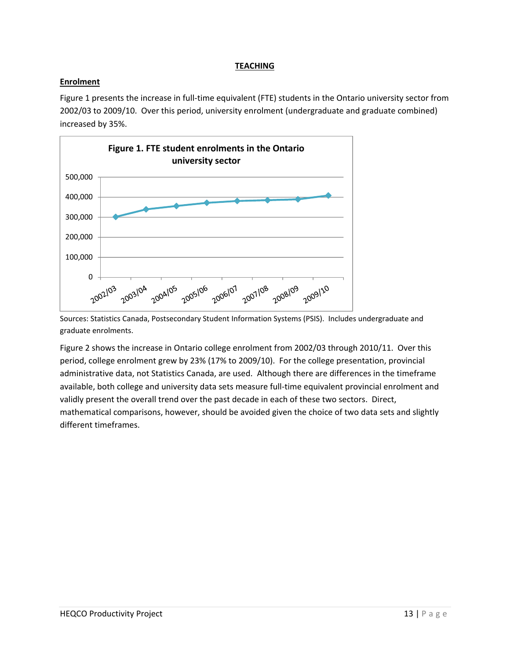#### **TEACHING**

#### **Enrolment**

Figure 1 presents the increase in full‐time equivalent (FTE) students in the Ontario university sector from 2002/03 to 2009/10. Over this period, university enrolment (undergraduate and graduate combined) increased by 35%.



Sources: Statistics Canada, Postsecondary Student Information Systems (PSIS). Includes undergraduate and graduate enrolments.

Figure 2 shows the increase in Ontario college enrolment from 2002/03 through 2010/11. Over this period, college enrolment grew by 23% (17% to 2009/10). For the college presentation, provincial administrative data, not Statistics Canada, are used. Although there are differences in the timeframe available, both college and university data sets measure full‐time equivalent provincial enrolment and validly present the overall trend over the past decade in each of these two sectors. Direct, mathematical comparisons, however, should be avoided given the choice of two data sets and slightly different timeframes.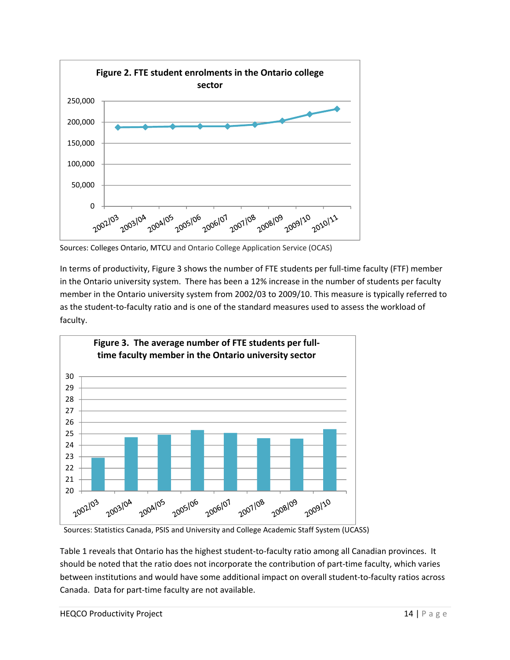

Sources: Colleges Ontario, MTCU and Ontario College Application Service (OCAS)

In terms of productivity, Figure 3 shows the number of FTE students per full-time faculty (FTF) member in the Ontario university system. There has been a 12% increase in the number of students per faculty member in the Ontario university system from 2002/03 to 2009/10. This measure is typically referred to as the student-to-faculty ratio and is one of the standard measures used to assess the workload of faculty.



Sources: Statistics Canada, PSIS and University and College Academic Staff System (UCASS)

Table 1 reveals that Ontario has the highest student‐to‐faculty ratio among all Canadian provinces. It should be noted that the ratio does not incorporate the contribution of part-time faculty, which varies between institutions and would have some additional impact on overall student‐to‐faculty ratios across Canada. Data for part‐time faculty are not available.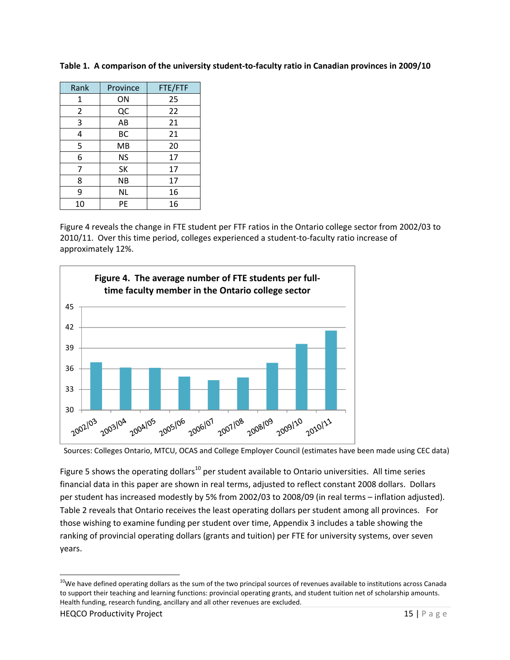| Rank           | Province  | FTE/FTF |
|----------------|-----------|---------|
| 1              | ON        | 25      |
| $\overline{2}$ | QC        | 22      |
| 3              | AB        | 21      |
| 4              | ВC        | 21      |
| 5              | MB        | 20      |
| 6              | ΝS        | 17      |
| 7              | <b>SK</b> | 17      |
| 8              | NB        | 17      |
| 9              | ΝL        | 16      |
| 10             | PE        | 16      |

Table 1. A comparison of the university student-to-faculty ratio in Canadian provinces in 2009/10

Figure 4 reveals the change in FTE student per FTF ratios in the Ontario college sector from 2002/03 to 2010/11. Over this time period, colleges experienced a student-to-faculty ratio increase of approximately 12%.



Sources: Colleges Ontario, MTCU, OCAS and College Employer Council (estimates have been made using CEC data)

Figure 5 shows the operating dollars<sup>10</sup> per student available to Ontario universities. All time series financial data in this paper are shown in real terms, adjusted to reflect constant 2008 dollars. Dollars per student has increased modestly by 5% from 2002/03 to 2008/09 (in real terms – inflation adjusted). Table 2 reveals that Ontario receives the least operating dollars per student among all provinces. For those wishing to examine funding per student over time, Appendix 3 includes a table showing the ranking of provincial operating dollars (grants and tuition) per FTE for university systems, over seven years.

  $^{10}$ We have defined operating dollars as the sum of the two principal sources of revenues available to institutions across Canada to support their teaching and learning functions: provincial operating grants, and student tuition net of scholarship amounts. Health funding, research funding, ancillary and all other revenues are excluded.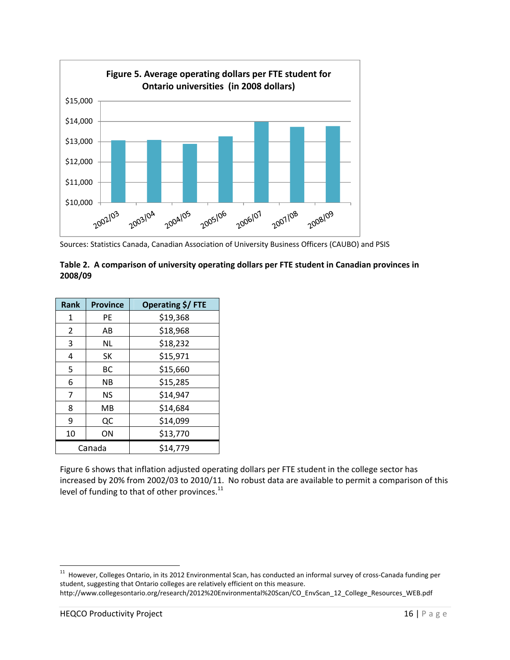

Sources: Statistics Canada, Canadian Association of University Business Officers (CAUBO) and PSIS

| Table 2. A comparison of university operating dollars per FTE student in Canadian provinces in |  |
|------------------------------------------------------------------------------------------------|--|
| 2008/09                                                                                        |  |

| <b>Rank</b> | <b>Province</b> | Operating \$/FTE |
|-------------|-----------------|------------------|
| 1           | РE              | \$19,368         |
| 2           | AB              | \$18,968         |
| 3           | NL              | \$18,232         |
| 4           | SK              | \$15,971         |
| 5           | <b>BC</b>       | \$15,660         |
| 6           | ΝB              | \$15,285         |
| 7           | <b>NS</b>       | \$14,947         |
| 8           | MВ              | \$14,684         |
| ٩           | QC              | \$14,099         |
| 10          | ON              | \$13,770         |
| Canada      |                 | \$14,779         |

Figure 6 shows that inflation adjusted operating dollars per FTE student in the college sector has increased by 20% from 2002/03 to 2010/11. No robust data are available to permit a comparison of this level of funding to that of other provinces. $^{11}$ 

 $11$  However, Colleges Ontario, in its 2012 Environmental Scan, has conducted an informal survey of cross-Canada funding per student, suggesting that Ontario colleges are relatively efficient on this measure.

http://www.collegesontario.org/research/2012%20Environmental%20Scan/CO\_EnvScan\_12\_College\_Resources\_WEB.pdf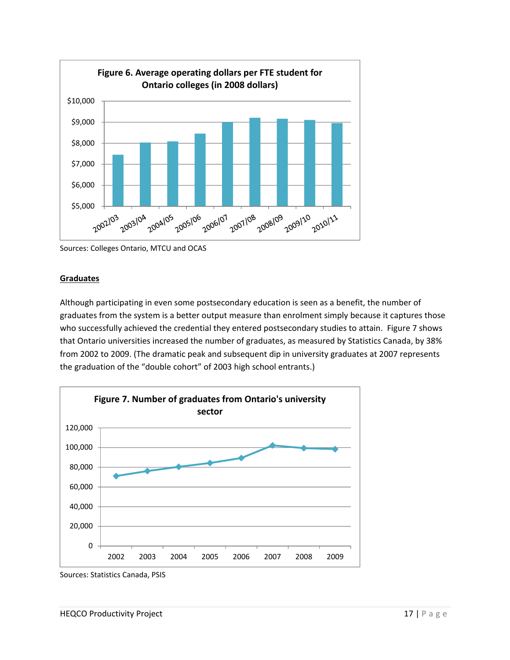

Sources: Colleges Ontario, MTCU and OCAS

#### **Graduates**

Although participating in even some postsecondary education is seen as a benefit, the number of graduates from the system is a better output measure than enrolment simply because it captures those who successfully achieved the credential they entered postsecondary studies to attain. Figure 7 shows that Ontario universities increased the number of graduates, as measured by Statistics Canada, by 38% from 2002 to 2009. (The dramatic peak and subsequent dip in university graduates at 2007 represents the graduation of the "double cohort" of 2003 high school entrants.)



Sources: Statistics Canada, PSIS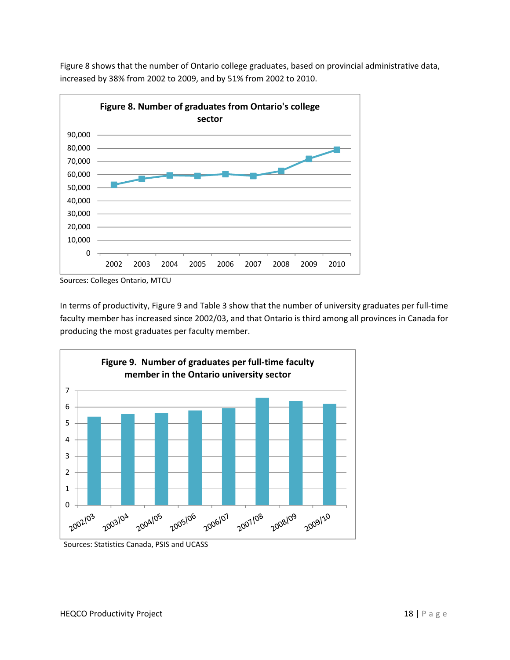Figure 8 shows that the number of Ontario college graduates, based on provincial administrative data, increased by 38% from 2002 to 2009, and by 51% from 2002 to 2010.



Sources: Colleges Ontario, MTCU

In terms of productivity, Figure 9 and Table 3 show that the number of university graduates per full‐time faculty member has increased since 2002/03, and that Ontario is third among all provinces in Canada for producing the most graduates per faculty member.



Sources: Statistics Canada, PSIS and UCASS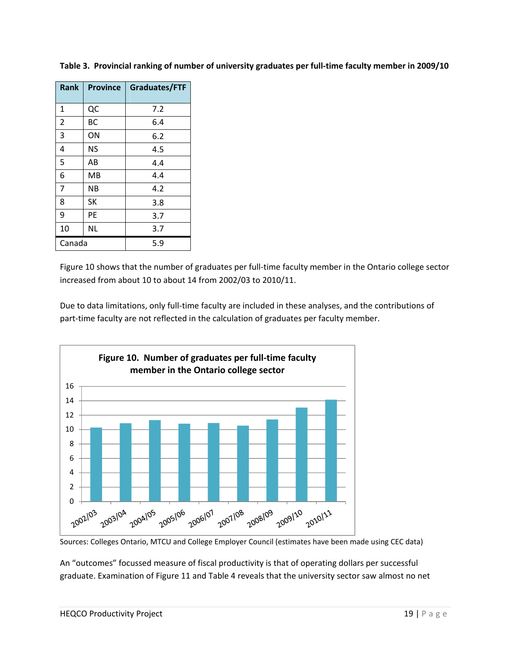| <b>Rank</b>    | <b>Province</b> | Graduates/FTF |
|----------------|-----------------|---------------|
| 1              | QC              | 7.2           |
| $\overline{2}$ | ВC              | 6.4           |
| 3              | ON              | 6.2           |
| 4              | <b>NS</b>       | 4.5           |
| 5              | AB              | 4.4           |
| 6              | MB              | 4.4           |
| 7              | <b>NB</b>       | 4.2           |
| 8              | <b>SK</b>       | 3.8           |
| 9              | PE              | 3.7           |
| 10             | ΝL              | 3.7           |
| Canada         |                 | 5.9           |

Table 3. Provincial ranking of number of university graduates per full-time faculty member in 2009/10

Figure 10 shows that the number of graduates per full-time faculty member in the Ontario college sector increased from about 10 to about 14 from 2002/03 to 2010/11.

Due to data limitations, only full-time faculty are included in these analyses, and the contributions of part-time faculty are not reflected in the calculation of graduates per faculty member.



Sources: Colleges Ontario, MTCU and College Employer Council (estimates have been made using CEC data)

An "outcomes" focussed measure of fiscal productivity is that of operating dollars per successful graduate. Examination of Figure 11 and Table 4 reveals that the university sector saw almost no net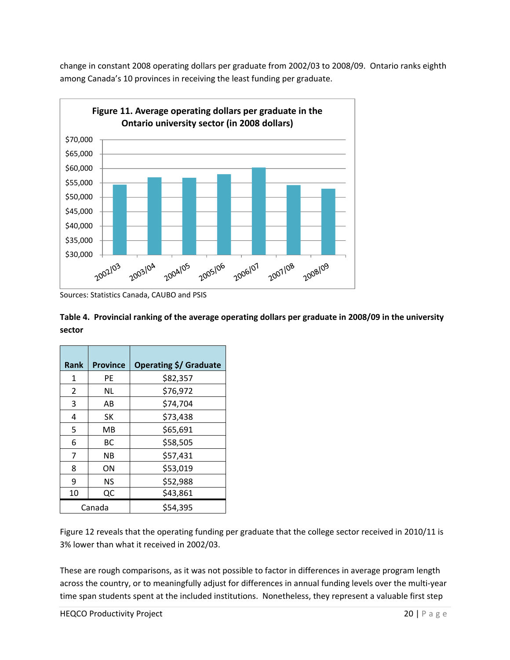change in constant 2008 operating dollars per graduate from 2002/03 to 2008/09. Ontario ranks eighth among Canada's 10 provinces in receiving the least funding per graduate.



Sources: Statistics Canada, CAUBO and PSIS

#### **Table 4. Provincial ranking of the average operating dollars per graduate in 2008/09 in the university sector**

| <b>Rank</b>    | <b>Province</b> | <b>Operating \$/ Graduate</b> |
|----------------|-----------------|-------------------------------|
| $\mathbf{1}$   | PE              | \$82,357                      |
| $\overline{2}$ | NL              | \$76,972                      |
| 3              | AB              | \$74,704                      |
| $\overline{4}$ | SK              | \$73,438                      |
| 5              | МB              | \$65,691                      |
| 6              | <b>BC</b>       | \$58,505                      |
| 7              | ΝB              | \$57,431                      |
| 8              | ON              | \$53,019                      |
| 9              | <b>NS</b>       | \$52,988                      |
| 10             | QC              | \$43,861                      |
| Canada         |                 | \$54,395                      |

Figure 12 reveals that the operating funding per graduate that the college sector received in 2010/11 is 3% lower than what it received in 2002/03.

These are rough comparisons, as it was not possible to factor in differences in average program length across the country, or to meaningfully adjust for differences in annual funding levels over the multi‐year time span students spent at the included institutions. Nonetheless, they represent a valuable first step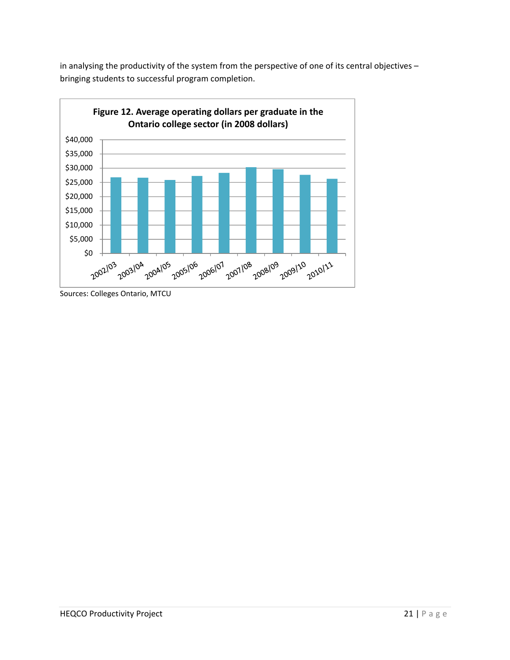in analysing the productivity of the system from the perspective of one of its central objectives – bringing students to successful program completion.



Sources: Colleges Ontario, MTCU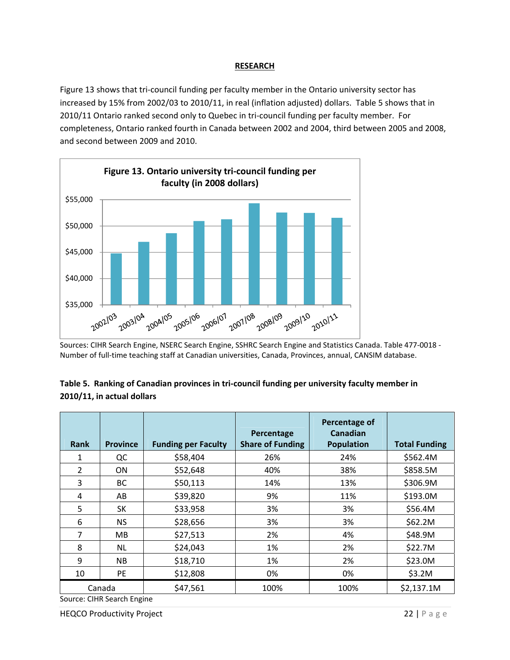#### **RESEARCH**

Figure 13 shows that tri-council funding per faculty member in the Ontario university sector has increased by 15% from 2002/03 to 2010/11, in real (inflation adjusted) dollars. Table 5 shows that in 2010/11 Ontario ranked second only to Quebec in tri-council funding per faculty member. For completeness, Ontario ranked fourth in Canada between 2002 and 2004, third between 2005 and 2008, and second between 2009 and 2010.



Sources: CIHR Search Engine, NSERC Search Engine, SSHRC Search Engine and Statistics Canada. Table 477‐0018 ‐ Number of full‐time teaching staff at Canadian universities, Canada, Provinces, annual, CANSIM database.

| <b>Rank</b>    | <b>Province</b> | <b>Funding per Faculty</b> | Percentage<br><b>Share of Funding</b> | Percentage of<br>Canadian<br><b>Population</b> | <b>Total Funding</b> |
|----------------|-----------------|----------------------------|---------------------------------------|------------------------------------------------|----------------------|
| 1              | QC              | \$58,404                   | 26%                                   | 24%                                            | \$562.4M             |
| $\overline{2}$ | <b>ON</b>       | \$52,648                   | 40%                                   | 38%                                            | \$858.5M             |
| 3              | BC              | \$50,113                   | 14%                                   | 13%                                            | \$306.9M             |
| 4              | AB              | \$39,820                   | 9%                                    | 11%                                            | \$193.0M             |
| 5              | <b>SK</b>       | \$33,958                   | 3%                                    | 3%                                             | \$56.4M              |
| 6              | <b>NS</b>       | \$28,656                   | 3%                                    | 3%                                             | \$62.2M              |
| 7              | <b>MB</b>       | \$27,513                   | 2%                                    | 4%                                             | \$48.9M              |
| 8              | <b>NL</b>       | \$24,043                   | 1%                                    | 2%                                             | \$22.7M              |
| 9              | NB.             | \$18,710                   | 1%                                    | 2%                                             | \$23.0M              |
| 10             | <b>PE</b>       | \$12,808                   | 0%                                    | 0%                                             | \$3.2M               |
|                | Canada          | \$47,561                   | 100%                                  | 100%                                           | \$2,137.1M           |

| Table 5. Ranking of Canadian provinces in tri-council funding per university faculty member in |
|------------------------------------------------------------------------------------------------|
| 2010/11, in actual dollars                                                                     |

Source: CIHR Search Engine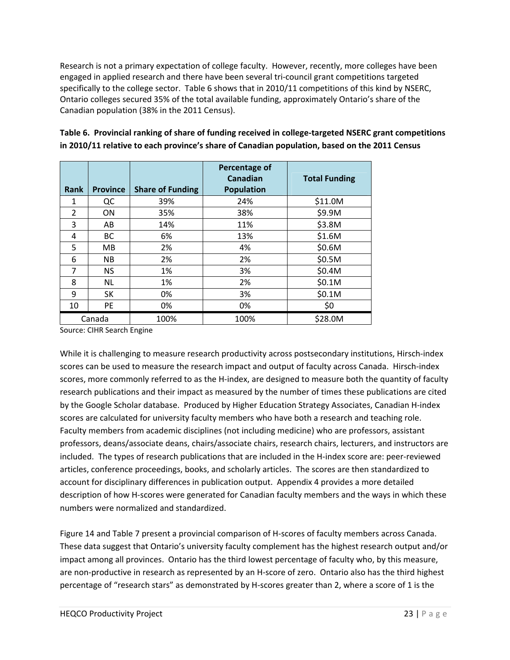Research is not a primary expectation of college faculty. However, recently, more colleges have been engaged in applied research and there have been several tri‐council grant competitions targeted specifically to the college sector. Table 6 shows that in 2010/11 competitions of this kind by NSERC, Ontario colleges secured 35% of the total available funding, approximately Ontario's share of the Canadian population (38% in the 2011 Census).

| <b>Rank</b>    | <b>Province</b> | <b>Share of Funding</b> | Percentage of<br>Canadian<br><b>Population</b> | <b>Total Funding</b> |
|----------------|-----------------|-------------------------|------------------------------------------------|----------------------|
| 1              | QC              | 39%                     | 24%                                            | \$11.0M              |
| $\overline{2}$ | ΟN              | 35%                     | 38%                                            | \$9.9M               |
| 3              | AB              | 14%                     | 11%                                            | \$3.8M               |
| 4              | BC              | 6%                      | 13%                                            | \$1.6M               |
| 5              | MB              | 2%                      | 4%                                             | \$0.6M               |
| 6              | <b>NB</b>       | 2%                      | 2%                                             | \$0.5M               |
| 7              | <b>NS</b>       | 1%                      | 3%                                             | \$0.4M               |
| 8              | <b>NL</b>       | 1%                      | 2%                                             | \$0.1M               |
| 9              | <b>SK</b>       | 0%                      | 3%                                             | \$0.1M               |
| 10             | <b>PE</b>       | 0%                      | 0%                                             | \$0                  |
|                | Canada          | 100%                    | 100%                                           | \$28.0M              |

| Table 6. Provincial ranking of share of funding received in college-targeted NSERC grant competitions |  |
|-------------------------------------------------------------------------------------------------------|--|
| in 2010/11 relative to each province's share of Canadian population, based on the 2011 Census         |  |

Source: CIHR Search Engine

While it is challenging to measure research productivity across postsecondary institutions, Hirsch-index scores can be used to measure the research impact and output of faculty across Canada. Hirsch-index scores, more commonly referred to as the H-index, are designed to measure both the quantity of faculty research publications and their impact as measured by the number of times these publications are cited by the Google Scholar database. Produced by Higher Education Strategy Associates, Canadian H-index scores are calculated for university faculty members who have both a research and teaching role. Faculty members from academic disciplines (not including medicine) who are professors, assistant professors, deans/associate deans, chairs/associate chairs, research chairs, lecturers, and instructors are included. The types of research publications that are included in the H-index score are: peer-reviewed articles, conference proceedings, books, and scholarly articles. The scores are then standardized to account for disciplinary differences in publication output. Appendix 4 provides a more detailed description of how H-scores were generated for Canadian faculty members and the ways in which these numbers were normalized and standardized.

Figure 14 and Table 7 present a provincial comparison of H‐scores of faculty members across Canada. These data suggest that Ontario's university faculty complement has the highest research output and/or impact among all provinces. Ontario has the third lowest percentage of faculty who, by this measure, are non-productive in research as represented by an H-score of zero. Ontario also has the third highest percentage of "research stars" as demonstrated by H‐scores greater than 2, where a score of 1 is the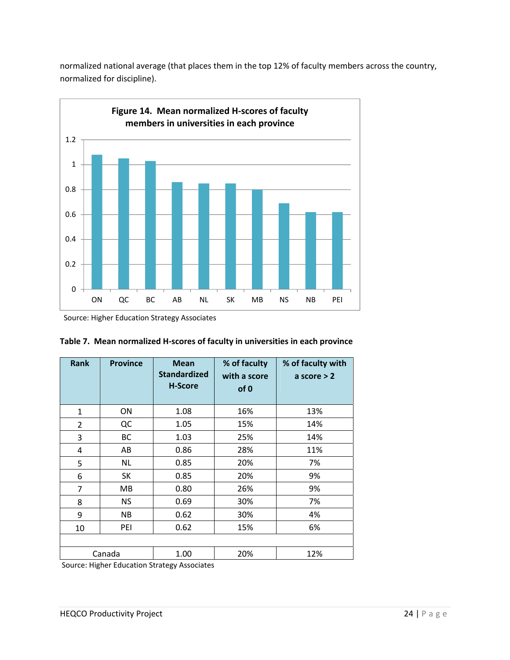normalized national average (that places them in the top 12% of faculty members across the country, normalized for discipline).



Source: Higher Education Strategy Associates

| <b>Rank</b>    | <b>Province</b> | <b>Mean</b><br><b>Standardized</b><br><b>H-Score</b> | % of faculty<br>with a score<br>of 0 | % of faculty with<br>a score $> 2$ |
|----------------|-----------------|------------------------------------------------------|--------------------------------------|------------------------------------|
| $\mathbf{1}$   | ON              | 1.08                                                 | 16%                                  | 13%                                |
| 2              | QC              | 1.05                                                 | 15%                                  | 14%                                |
| 3              | ВC              | 1.03                                                 | 25%                                  | 14%                                |
| 4              | AB              | 0.86                                                 | 28%                                  | 11%                                |
| 5              | <b>NL</b>       | 0.85                                                 | 20%                                  | 7%                                 |
| 6              | <b>SK</b>       | 0.85                                                 | 20%                                  | 9%                                 |
| $\overline{7}$ | MB              | 0.80                                                 | 26%                                  | 9%                                 |
| 8              | <b>NS</b>       | 0.69                                                 | 30%                                  | 7%                                 |
| 9              | <b>NB</b>       | 0.62                                                 | 30%                                  | 4%                                 |
| 10             | PEI             | 0.62                                                 | 15%                                  | 6%                                 |
|                |                 |                                                      |                                      |                                    |
| Canada         |                 | 1.00                                                 | 20%                                  | 12%                                |

|  | Table 7. Mean normalized H-scores of faculty in universities in each province |  |  |
|--|-------------------------------------------------------------------------------|--|--|
|--|-------------------------------------------------------------------------------|--|--|

Source: Higher Education Strategy Associates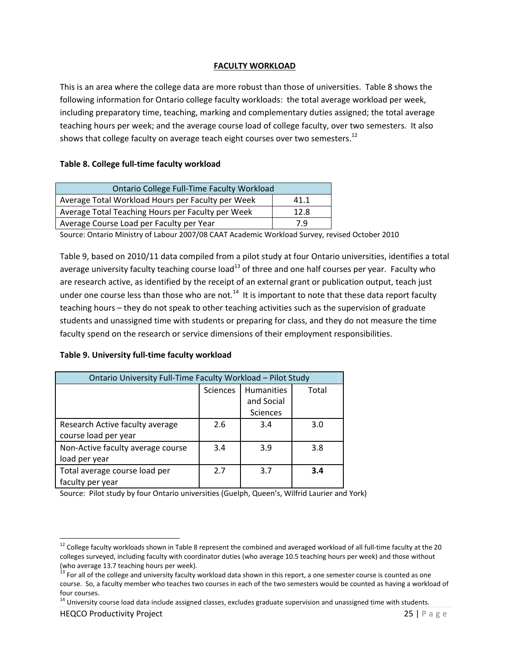#### **FACULTY WORKLOAD**

This is an area where the college data are more robust than those of universities. Table 8 shows the following information for Ontario college faculty workloads: the total average workload per week, including preparatory time, teaching, marking and complementary duties assigned; the total average teaching hours per week; and the average course load of college faculty, over two semesters. It also shows that college faculty on average teach eight courses over two semesters.<sup>12</sup>

#### **Table 8. College full‐time faculty workload**

| <b>Ontario College Full-Time Faculty Workload</b> |      |  |  |  |
|---------------------------------------------------|------|--|--|--|
| Average Total Workload Hours per Faculty per Week | 41.1 |  |  |  |
| Average Total Teaching Hours per Faculty per Week | 12.8 |  |  |  |
| Average Course Load per Faculty per Year          | 7 9  |  |  |  |

Source: Ontario Ministry of Labour 2007/08 CAAT Academic Workload Survey, revised October 2010

Table 9, based on 2010/11 data compiled from a pilot study at four Ontario universities, identifies a total average university faculty teaching course load<sup>13</sup> of three and one half courses per year. Faculty who are research active, as identified by the receipt of an external grant or publication output, teach just under one course less than those who are not.<sup>14</sup> It is important to note that these data report faculty teaching hours – they do not speak to other teaching activities such as the supervision of graduate students and unassigned time with students or preparing for class, and they do not measure the time faculty spend on the research or service dimensions of their employment responsibilities.

#### **Table 9. University full‐time faculty workload**

| Ontario University Full-Time Faculty Workload - Pilot Study |                 |                 |       |  |
|-------------------------------------------------------------|-----------------|-----------------|-------|--|
|                                                             | <b>Sciences</b> | Humanities      | Total |  |
|                                                             |                 | and Social      |       |  |
|                                                             |                 | <b>Sciences</b> |       |  |
| Research Active faculty average                             | 2.6             | 3.4             | 3.0   |  |
| course load per year                                        |                 |                 |       |  |
| Non-Active faculty average course                           | 3.4             | 3.9             | 3.8   |  |
| load per year                                               |                 |                 |       |  |
| Total average course load per                               | 2.7             | 3.7             | 3.4   |  |
| faculty per year                                            |                 |                 |       |  |

Source: Pilot study by four Ontario universities (Guelph, Queen's, Wilfrid Laurier and York)

four courses.<br><sup>14</sup> University course load data include assigned classes, excludes graduate supervision and unassigned time with students.

<sup>&</sup>lt;sup>12</sup> College faculty workloads shown in Table 8 represent the combined and averaged workload of all full-time faculty at the 20 colleges surveyed, including faculty with coordinator duties (who average 10.5 teaching hours per week) and those without (who average 13.7 teaching hours per week). <sup>13</sup> For all other and the collection of the college and university faculty workload data shown in this report, a one semester course is counted as one stand 13 For all of th

course. So, a faculty member who teaches two courses in each of the two semesters would be counted as having a workload of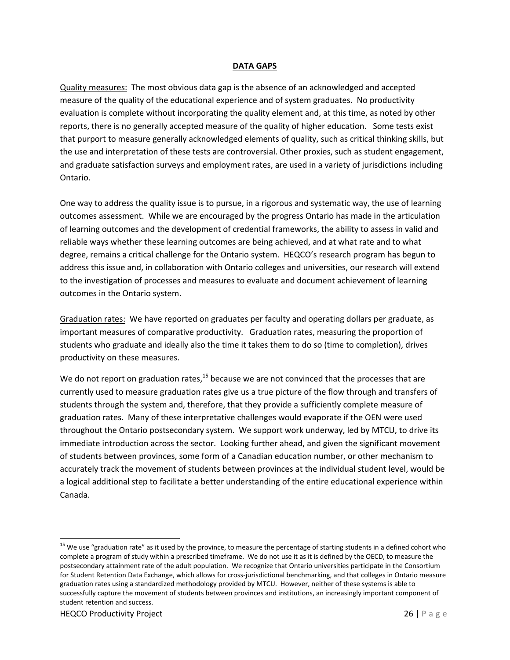#### **DATA GAPS**

Quality measures: The most obvious data gap is the absence of an acknowledged and accepted measure of the quality of the educational experience and of system graduates. No productivity evaluation is complete without incorporating the quality element and, at this time, as noted by other reports, there is no generally accepted measure of the quality of higher education. Some tests exist that purport to measure generally acknowledged elements of quality, such as critical thinking skills, but the use and interpretation of these tests are controversial. Other proxies, such as student engagement, and graduate satisfaction surveys and employment rates, are used in a variety of jurisdictions including Ontario.

One way to address the quality issue is to pursue, in a rigorous and systematic way, the use of learning outcomes assessment. While we are encouraged by the progress Ontario has made in the articulation of learning outcomes and the development of credential frameworks, the ability to assess in valid and reliable ways whether these learning outcomes are being achieved, and at what rate and to what degree, remains a critical challenge for the Ontario system. HEQCO's research program has begun to address this issue and, in collaboration with Ontario colleges and universities, our research will extend to the investigation of processes and measures to evaluate and document achievement of learning outcomes in the Ontario system.

Graduation rates: We have reported on graduates per faculty and operating dollars per graduate, as important measures of comparative productivity. Graduation rates, measuring the proportion of students who graduate and ideally also the time it takes them to do so (time to completion), drives productivity on these measures.

We do not report on graduation rates, $15$  because we are not convinced that the processes that are currently used to measure graduation rates give us a true picture of the flow through and transfers of students through the system and, therefore, that they provide a sufficiently complete measure of graduation rates. Many of these interpretative challenges would evaporate if the OEN were used throughout the Ontario postsecondary system. We support work underway, led by MTCU, to drive its immediate introduction across the sector. Looking further ahead, and given the significant movement of students between provinces, some form of a Canadian education number, or other mechanism to accurately track the movement of students between provinces at the individual student level, would be a logical additional step to facilitate a better understanding of the entire educational experience within Canada.

<sup>&</sup>lt;sup>15</sup> We use "graduation rate" as it used by the province, to measure the percentage of starting students in a defined cohort who complete a program of study within a prescribed timeframe. We do not use it as it is defined by the OECD, to measure the postsecondary attainment rate of the adult population. We recognize that Ontario universities participate in the Consortium for Student Retention Data Exchange, which allows for cross-jurisdictional benchmarking, and that colleges in Ontario measure graduation rates using a standardized methodology provided by MTCU. However, neither of these systems is able to successfully capture the movement of students between provinces and institutions, an increasingly important component of student retention and success.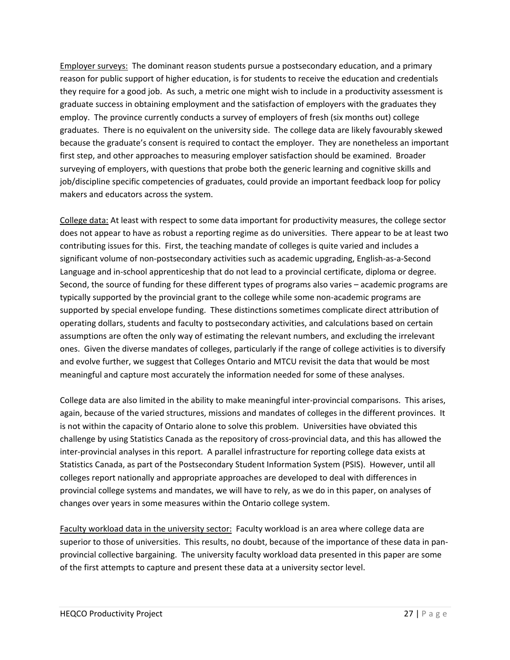Employer surveys: The dominant reason students pursue a postsecondary education, and a primary reason for public support of higher education, is for students to receive the education and credentials they require for a good job. As such, a metric one might wish to include in a productivity assessment is graduate success in obtaining employment and the satisfaction of employers with the graduates they employ. The province currently conducts a survey of employers of fresh (six months out) college graduates. There is no equivalent on the university side. The college data are likely favourably skewed because the graduate's consent is required to contact the employer. They are nonetheless an important first step, and other approaches to measuring employer satisfaction should be examined. Broader surveying of employers, with questions that probe both the generic learning and cognitive skills and job/discipline specific competencies of graduates, could provide an important feedback loop for policy makers and educators across the system.

College data: At least with respect to some data important for productivity measures, the college sector does not appear to have as robust a reporting regime as do universities. There appear to be at least two contributing issues for this. First, the teaching mandate of colleges is quite varied and includes a significant volume of non‐postsecondary activities such as academic upgrading, English‐as‐a‐Second Language and in‐school apprenticeship that do not lead to a provincial certificate, diploma or degree. Second, the source of funding for these different types of programs also varies – academic programs are typically supported by the provincial grant to the college while some non‐academic programs are supported by special envelope funding. These distinctions sometimes complicate direct attribution of operating dollars, students and faculty to postsecondary activities, and calculations based on certain assumptions are often the only way of estimating the relevant numbers, and excluding the irrelevant ones. Given the diverse mandates of colleges, particularly if the range of college activities is to diversify and evolve further, we suggest that Colleges Ontario and MTCU revisit the data that would be most meaningful and capture most accurately the information needed for some of these analyses.

College data are also limited in the ability to make meaningful inter‐provincial comparisons. This arises, again, because of the varied structures, missions and mandates of colleges in the different provinces. It is not within the capacity of Ontario alone to solve this problem. Universities have obviated this challenge by using Statistics Canada as the repository of cross‐provincial data, and this has allowed the inter-provincial analyses in this report. A parallel infrastructure for reporting college data exists at Statistics Canada, as part of the Postsecondary Student Information System (PSIS). However, until all colleges report nationally and appropriate approaches are developed to deal with differences in provincial college systems and mandates, we will have to rely, as we do in this paper, on analyses of changes over years in some measures within the Ontario college system.

Faculty workload data in the university sector: Faculty workload is an area where college data are superior to those of universities. This results, no doubt, because of the importance of these data in panprovincial collective bargaining. The university faculty workload data presented in this paper are some of the first attempts to capture and present these data at a university sector level.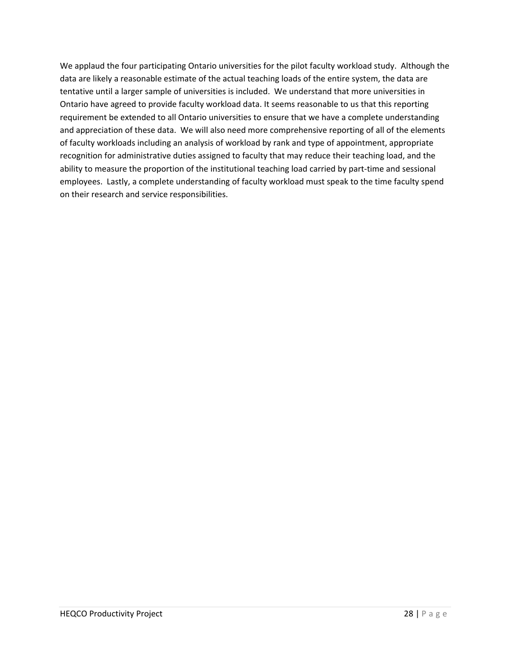We applaud the four participating Ontario universities for the pilot faculty workload study. Although the data are likely a reasonable estimate of the actual teaching loads of the entire system, the data are tentative until a larger sample of universities is included. We understand that more universities in Ontario have agreed to provide faculty workload data. It seems reasonable to us that this reporting requirement be extended to all Ontario universities to ensure that we have a complete understanding and appreciation of these data. We will also need more comprehensive reporting of all of the elements of faculty workloads including an analysis of workload by rank and type of appointment, appropriate recognition for administrative duties assigned to faculty that may reduce their teaching load, and the ability to measure the proportion of the institutional teaching load carried by part‐time and sessional employees. Lastly, a complete understanding of faculty workload must speak to the time faculty spend on their research and service responsibilities.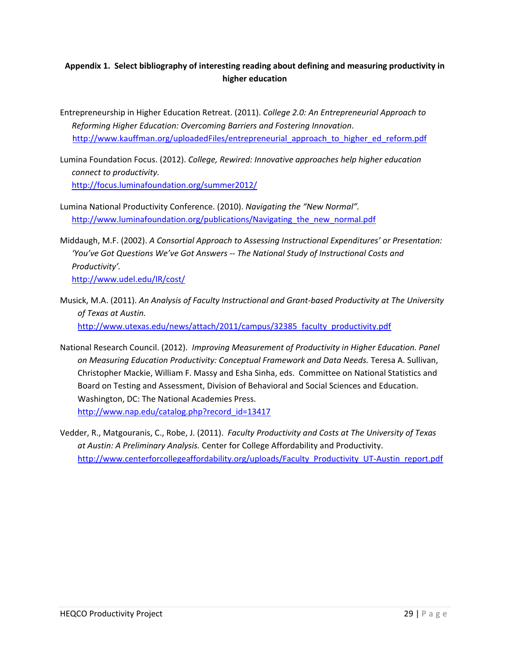# **Appendix 1. Select bibliography of interesting reading about defining and measuring productivity in higher education**

- Entrepreneurship in Higher Education Retreat. (2011). *College 2.0: An Entrepreneurial Approach to Reforming Higher Education: Overcoming Barriers and Fostering Innovation*. http://www.kauffman.org/uploadedFiles/entrepreneurial\_approach\_to\_higher\_ed\_reform.pdf
- Lumina Foundation Focus. (2012). *College, Rewired: Innovative approaches help higher education connect to productivity.* http://focus.luminafoundation.org/summer2012/
- Lumina National Productivity Conference. (2010). *Navigating the "New Normal".* http://www.luminafoundation.org/publications/Navigating the new normal.pdf
- Middaugh, M.F. (2002). *A Consortial Approach to Assessing Instructional Expenditures' or Presentation: 'You've Got Questions We've Got Answers ‐‐ The National Study of Instructional Costs and Productivity'.*

http://www.udel.edu/IR/cost/

- Musick, M.A. (2011). *An Analysis of Faculty Instructional and Grant‐based Productivity at The University of Texas at Austin.*  http://www.utexas.edu/news/attach/2011/campus/32385\_faculty\_productivity.pdf
- National Research Council. (2012). *Improving Measurement of Productivity in Higher Education. Panel on Measuring Education Productivity: Conceptual Framework and Data Needs.* Teresa A. Sullivan, Christopher Mackie, William F. Massy and Esha Sinha, eds. Committee on National Statistics and Board on Testing and Assessment, Division of Behavioral and Social Sciences and Education. Washington, DC: The National Academies Press. http://www.nap.edu/catalog.php?record\_id=13417
- Vedder, R., Matgouranis, C., Robe, J. (2011). *Faculty Productivity and Costs at The University of Texas at Austin: A Preliminary Analysis.* Center for College Affordability and Productivity. http://www.centerforcollegeaffordability.org/uploads/Faculty\_Productivity\_UT-Austin\_report.pdf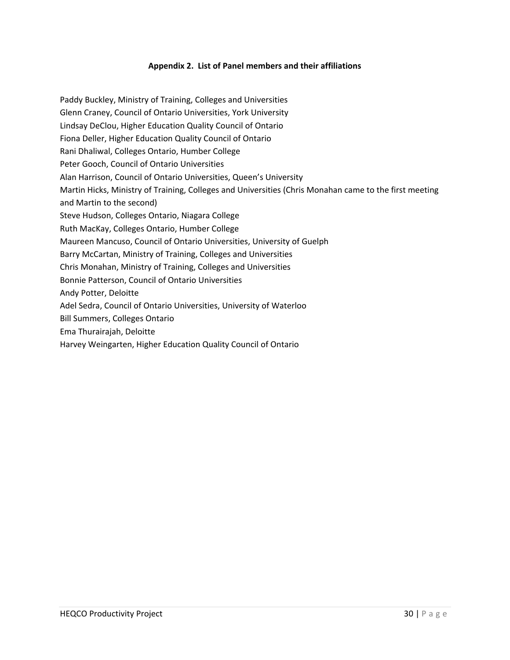#### **Appendix 2. List of Panel members and their affiliations**

Paddy Buckley, Ministry of Training, Colleges and Universities Glenn Craney, Council of Ontario Universities, York University Lindsay DeClou, Higher Education Quality Council of Ontario Fiona Deller, Higher Education Quality Council of Ontario Rani Dhaliwal, Colleges Ontario, Humber College Peter Gooch, Council of Ontario Universities Alan Harrison, Council of Ontario Universities, Queen's University Martin Hicks, Ministry of Training, Colleges and Universities (Chris Monahan came to the first meeting and Martin to the second) Steve Hudson, Colleges Ontario, Niagara College Ruth MacKay, Colleges Ontario, Humber College Maureen Mancuso, Council of Ontario Universities, University of Guelph Barry McCartan, Ministry of Training, Colleges and Universities Chris Monahan, Ministry of Training, Colleges and Universities Bonnie Patterson, Council of Ontario Universities Andy Potter, Deloitte Adel Sedra, Council of Ontario Universities, University of Waterloo Bill Summers, Colleges Ontario Ema Thurairajah, Deloitte Harvey Weingarten, Higher Education Quality Council of Ontario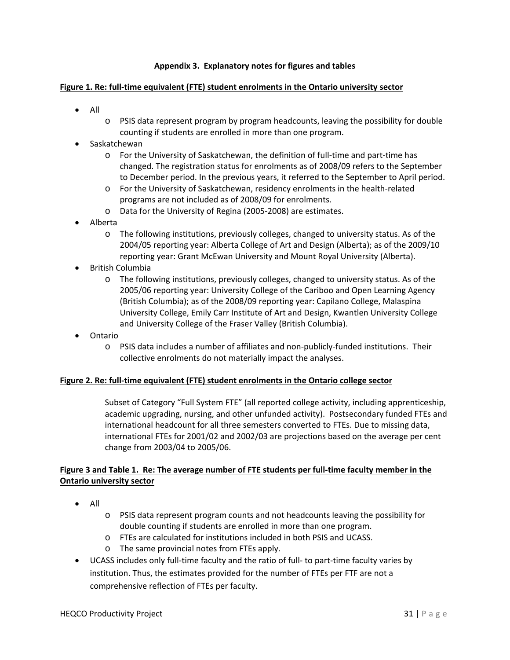#### **Appendix 3. Explanatory notes for figures and tables**

#### **Figure 1. Re: full‐time equivalent (FTE) student enrolments in the Ontario university sector**

- All
	- o PSIS data represent program by program headcounts, leaving the possibility for double counting if students are enrolled in more than one program.
- Saskatchewan
	- o For the University of Saskatchewan, the definition of full‐time and part‐time has changed. The registration status for enrolments as of 2008/09 refers to the September to December period. In the previous years, it referred to the September to April period.
	- o For the University of Saskatchewan, residency enrolments in the health‐related programs are not included as of 2008/09 for enrolments.
	- o Data for the University of Regina (2005‐2008) are estimates.
- Alberta
	- o The following institutions, previously colleges, changed to university status. As of the 2004/05 reporting year: Alberta College of Art and Design (Alberta); as of the 2009/10 reporting year: Grant McEwan University and Mount Royal University (Alberta).
- British Columbia
	- o The following institutions, previously colleges, changed to university status. As of the 2005/06 reporting year: University College of the Cariboo and Open Learning Agency (British Columbia); as of the 2008/09 reporting year: Capilano College, Malaspina University College, Emily Carr Institute of Art and Design, Kwantlen University College and University College of the Fraser Valley (British Columbia).
- Ontario
	- o PSIS data includes a number of affiliates and non‐publicly‐funded institutions. Their collective enrolments do not materially impact the analyses.

#### **Figure 2. Re: full‐time equivalent (FTE) student enrolments in the Ontario college sector**

Subset of Category "Full System FTE" (all reported college activity, including apprenticeship, academic upgrading, nursing, and other unfunded activity). Postsecondary funded FTEs and international headcount for all three semesters converted to FTEs. Due to missing data, international FTEs for 2001/02 and 2002/03 are projections based on the average per cent change from 2003/04 to 2005/06.

#### Figure 3 and Table 1. Re: The average number of FTE students per full-time faculty member in the **Ontario university sector**

- All
- o PSIS data represent program counts and not headcounts leaving the possibility for double counting if students are enrolled in more than one program.
- o FTEs are calculated for institutions included in both PSIS and UCASS.
- o The same provincial notes from FTEs apply.
- UCASS includes only full‐time faculty and the ratio of full‐ to part‐time faculty varies by institution. Thus, the estimates provided for the number of FTEs per FTF are not a comprehensive reflection of FTEs per faculty.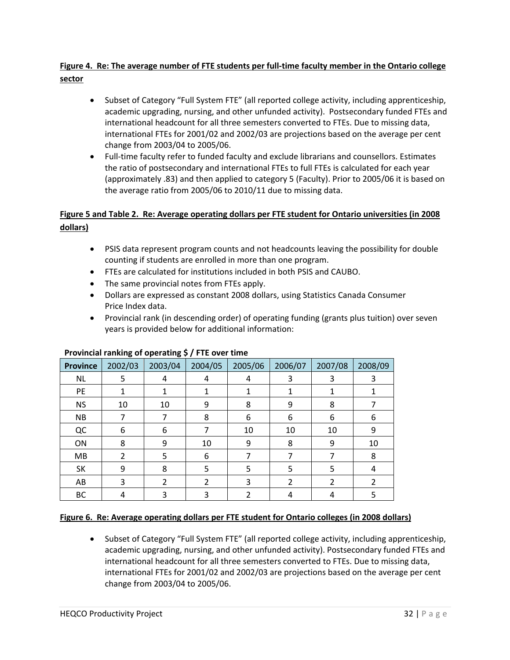### Figure 4. Re: The average number of FTE students per full-time faculty member in the Ontario college **sector**

- Subset of Category "Full System FTE" (all reported college activity, including apprenticeship, academic upgrading, nursing, and other unfunded activity). Postsecondary funded FTEs and international headcount for all three semesters converted to FTEs. Due to missing data, international FTEs for 2001/02 and 2002/03 are projections based on the average per cent change from 2003/04 to 2005/06.
- Full-time faculty refer to funded faculty and exclude librarians and counsellors. Estimates the ratio of postsecondary and international FTEs to full FTEs is calculated for each year (approximately .83) and then applied to category 5 (Faculty). Prior to 2005/06 it is based on the average ratio from 2005/06 to 2010/11 due to missing data.

# Figure 5 and Table 2. Re: Average operating dollars per FTE student for Ontario universities (in 2008 **dollars)**

- PSIS data represent program counts and not headcounts leaving the possibility for double counting if students are enrolled in more than one program.
- FTEs are calculated for institutions included in both PSIS and CAUBO.
- The same provincial notes from FTEs apply.
- Dollars are expressed as constant 2008 dollars, using Statistics Canada Consumer Price Index data.
- Provincial rank (in descending order) of operating funding (grants plus tuition) over seven years is provided below for additional information:

| $1.00$ and $1.00$ and $1.00$ and $1.00$ and $1.00$ and $1.00$ and $1.00$ and $1.00$ and $1.00$ and $1.00$ and $1.00$ and $1.00$ and $1.00$ and $1.00$ and $1.00$ and $1.00$ and $1.00$ and $1.00$ and $1.00$ and $1.00$ and |         |                |         |         |                |                |         |
|-----------------------------------------------------------------------------------------------------------------------------------------------------------------------------------------------------------------------------|---------|----------------|---------|---------|----------------|----------------|---------|
| <b>Province</b>                                                                                                                                                                                                             | 2002/03 | 2003/04        | 2004/05 | 2005/06 | 2006/07        | 2007/08        | 2008/09 |
| <b>NL</b>                                                                                                                                                                                                                   | 5.      | 4              | 4       | 4       | 3              | 3              | 3       |
| PE                                                                                                                                                                                                                          |         | 1              |         |         | 1              |                |         |
| <b>NS</b>                                                                                                                                                                                                                   | 10      | 10             | 9       | 8       | 9              | 8              |         |
| NB                                                                                                                                                                                                                          | 7       |                | 8       | 6       | 6              | 6              | 6       |
| QC                                                                                                                                                                                                                          | 6       | 6              |         | 10      | 10             | 10             | 9       |
| ON                                                                                                                                                                                                                          | 8       | 9              | 10      | 9       | 8              | 9              | 10      |
| MB                                                                                                                                                                                                                          | 2       | 5              | 6       |         | 7              |                | 8       |
| <b>SK</b>                                                                                                                                                                                                                   | 9       | 8              | 5       | 5       | 5              | 5              | 4       |
| AB                                                                                                                                                                                                                          | 3       | $\overline{2}$ | 2       | 3       | $\overline{2}$ | $\overline{2}$ | 2       |
| BC                                                                                                                                                                                                                          | 4       | 3              | 3       | 2       | 4              |                | 5       |

#### **Provincial ranking of operating \$ / FTE over time**

#### **Figure 6. Re: Average operating dollars per FTE student for Ontario colleges (in 2008 dollars)**

• Subset of Category "Full System FTE" (all reported college activity, including apprenticeship, academic upgrading, nursing, and other unfunded activity). Postsecondary funded FTEs and international headcount for all three semesters converted to FTEs. Due to missing data, international FTEs for 2001/02 and 2002/03 are projections based on the average per cent change from 2003/04 to 2005/06.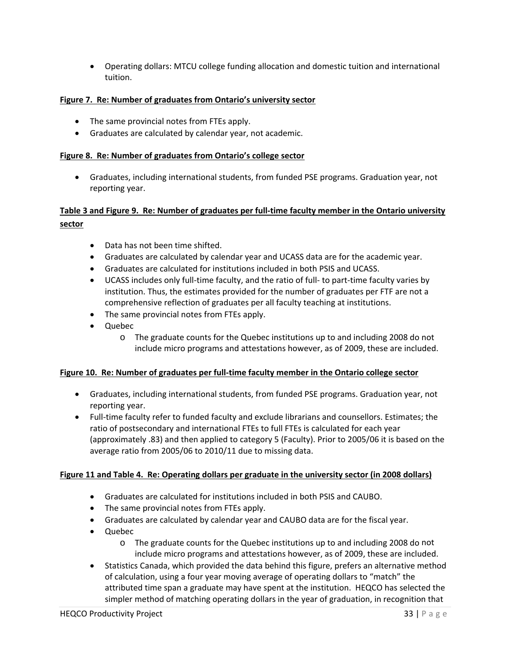• Operating dollars: MTCU college funding allocation and domestic tuition and international tuition.

#### **Figure 7. Re: Number of graduates from Ontario's university sector**

- The same provincial notes from FTEs apply.
- Graduates are calculated by calendar year, not academic.

#### **Figure 8. Re: Number of graduates from Ontario's college sector**

• Graduates, including international students, from funded PSE programs. Graduation year, not reporting year.

# Table 3 and Figure 9. Re: Number of graduates per full-time faculty member in the Ontario university **sector**

- Data has not been time shifted.
- Graduates are calculated by calendar year and UCASS data are for the academic year.
- Graduates are calculated for institutions included in both PSIS and UCASS.
- UCASS includes only full-time faculty, and the ratio of full- to part-time faculty varies by institution. Thus, the estimates provided for the number of graduates per FTF are not a comprehensive reflection of graduates per all faculty teaching at institutions.
- The same provincial notes from FTEs apply.
- Quebec
	- o The graduate counts for the Quebec institutions up to and including 2008 do not include micro programs and attestations however, as of 2009, these are included.

#### **Figure 10. Re: Number of graduates per full‐time faculty member in the Ontario college sector**

- Graduates, including international students, from funded PSE programs. Graduation year, not reporting year.
- Full‐time faculty refer to funded faculty and exclude librarians and counsellors. Estimates; the ratio of postsecondary and international FTEs to full FTEs is calculated for each year (approximately .83) and then applied to category 5 (Faculty). Prior to 2005/06 it is based on the average ratio from 2005/06 to 2010/11 due to missing data.

#### Figure 11 and Table 4. Re: Operating dollars per graduate in the university sector (in 2008 dollars)

- Graduates are calculated for institutions included in both PSIS and CAUBO.
- The same provincial notes from FTEs apply.
- Graduates are calculated by calendar year and CAUBO data are for the fiscal year.
- Quebec
	- o The graduate counts for the Quebec institutions up to and including 2008 do not include micro programs and attestations however, as of 2009, these are included.
- Statistics Canada, which provided the data behind this figure, prefers an alternative method of calculation, using a four year moving average of operating dollars to "match" the attributed time span a graduate may have spent at the institution. HEQCO has selected the simpler method of matching operating dollars in the year of graduation, in recognition that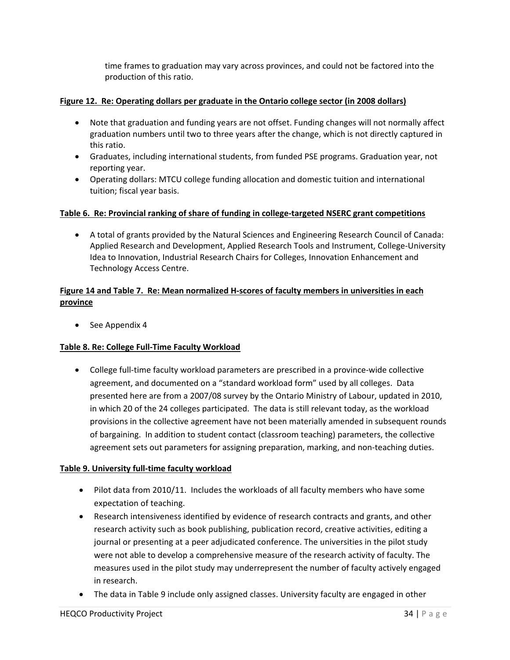time frames to graduation may vary across provinces, and could not be factored into the production of this ratio.

#### **Figure 12. Re: Operating dollars per graduate in the Ontario college sector (in 2008 dollars)**

- Note that graduation and funding years are not offset. Funding changes will not normally affect graduation numbers until two to three years after the change, which is not directly captured in this ratio.
- Graduates, including international students, from funded PSE programs. Graduation year, not reporting year.
- Operating dollars: MTCU college funding allocation and domestic tuition and international tuition; fiscal year basis.

#### **Table 6. Re: Provincial ranking of share of funding in college‐targeted NSERC grant competitions**

• A total of grants provided by the Natural Sciences and Engineering Research Council of Canada: Applied Research and Development, Applied Research Tools and Instrument, College‐University Idea to Innovation, Industrial Research Chairs for Colleges, Innovation Enhancement and Technology Access Centre.

#### Figure 14 and Table 7. Re: Mean normalized H-scores of faculty members in universities in each **province**

• See Appendix 4

#### **Table 8. Re: College Full‐Time Faculty Workload**

● College full-time faculty workload parameters are prescribed in a province-wide collective agreement, and documented on a "standard workload form" used by all colleges. Data presented here are from a 2007/08 survey by the Ontario Ministry of Labour, updated in 2010, in which 20 of the 24 colleges participated. The data is still relevant today, as the workload provisions in the collective agreement have not been materially amended in subsequent rounds of bargaining. In addition to student contact (classroom teaching) parameters, the collective agreement sets out parameters for assigning preparation, marking, and non-teaching duties.

#### **Table 9. University full‐time faculty workload**

- Pilot data from 2010/11. Includes the workloads of all faculty members who have some expectation of teaching.
- Research intensiveness identified by evidence of research contracts and grants, and other research activity such as book publishing, publication record, creative activities, editing a journal or presenting at a peer adjudicated conference. The universities in the pilot study were not able to develop a comprehensive measure of the research activity of faculty. The measures used in the pilot study may underrepresent the number of faculty actively engaged in research.
- The data in Table 9 include only assigned classes. University faculty are engaged in other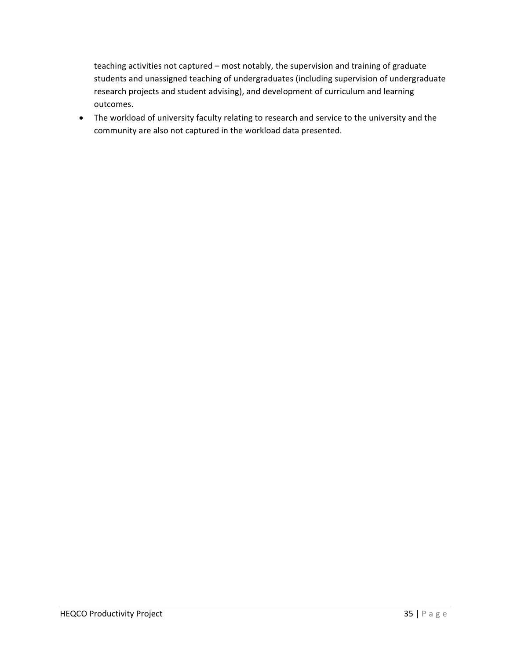teaching activities not captured – most notably, the supervision and training of graduate students and unassigned teaching of undergraduates (including supervision of undergraduate research projects and student advising), and development of curriculum and learning outcomes.

• The workload of university faculty relating to research and service to the university and the community are also not captured in the workload data presented.